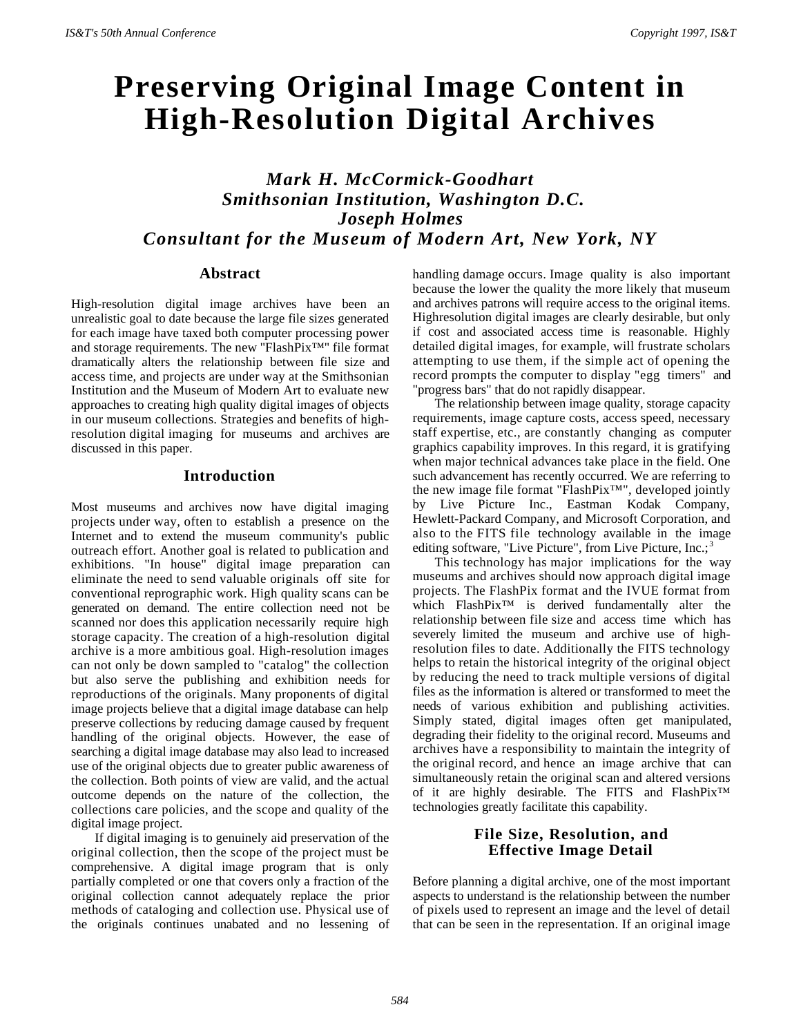# **Preserving Original Image Content in High-Resolution Digital Archives**

*Mark H. McCormick-Goodhart Smithsonian Institution, Washington D.C. Joseph Holmes Consultant for the Museum of Modern Art, New York, NY*

## **Abstract**

High-resolution digital image archives have been an unrealistic goal to date because the large file sizes generated for each image have taxed both computer processing power and storage requirements. The new ''FlashPix™'' file format dramatically alters the relationship between file size and access time, and projects are under way at the Smithsonian Institution and the Museum of Modern Art to evaluate new approaches to creating high quality digital images of objects in our museum collections. Strategies and benefits of highresolution digital imaging for museums and archives are discussed in this paper.

### **Introduction**

Most museums and archives now have digital imaging projects under way, often to establish a presence on the Internet and to extend the museum community's public outreach effort. Another goal is related to publication and exhibitions. "In house" digital image preparation can eliminate the need to send valuable originals off site for conventional reprographic work. High quality scans can be generated on demand. The entire collection need not be scanned nor does this application necessarily require high storage capacity. The creation of a high-resolution digital archive is a more ambitious goal. High-resolution images can not only be down sampled to "catalog" the collection but also serve the publishing and exhibition needs for reproductions of the originals. Many proponents of digital image projects believe that a digital image database can help preserve collections by reducing damage caused by frequent handling of the original objects. However, the ease of searching a digital image database may also lead to increased use of the original objects due to greater public awareness of the collection. Both points of view are valid, and the actual outcome depends on the nature of the collection, the collections care policies, and the scope and quality of the digital image project.

If digital imaging is to genuinely aid preservation of the original collection, then the scope of the project must be comprehensive. A digital image program that is only partially completed or one that covers only a fraction of the original collection cannot adequately replace the prior methods of cataloging and collection use. Physical use of the originals continues unabated and no lessening of handling damage occurs. Image quality is also important because the lower the quality the more likely that museum and archives patrons will require access to the original items. Highresolution digital images are clearly desirable, but only if cost and associated access time is reasonable. Highly detailed digital images, for example, will frustrate scholars attempting to use them, if the simple act of opening the record prompts the computer to display "egg timers" and "progress bars" that do not rapidly disappear.

The relationship between image quality, storage capacity requirements, image capture costs, access speed, necessary staff expertise, etc., are constantly changing as computer graphics capability improves. In this regard, it is gratifying when major technical advances take place in the field. One such advancement has recently occurred. We are referring to the new image file format "FlashPix™", developed jointly by Live Picture Inc., Eastman Kodak Company, Hewlett-Packard Company, and Microsoft Corporation, and also to the FITS file technology available in the image editing software, "Live Picture", from Live Picture, Inc.;<sup>3</sup>

This technology has major implications for the way museums and archives should now approach digital image projects. The FlashPix format and the IVUE format from which FlashPix™ is derived fundamentally alter the relationship between file size and access time which has severely limited the museum and archive use of highresolution files to date. Additionally the FITS technology helps to retain the historical integrity of the original object by reducing the need to track multiple versions of digital files as the information is altered or transformed to meet the needs of various exhibition and publishing activities. Simply stated, digital images often get manipulated, degrading their fidelity to the original record. Museums and archives have a responsibility to maintain the integrity of the original record, and hence an image archive that can simultaneously retain the original scan and altered versions of it are highly desirable. The FITS and FlashPix™ technologies greatly facilitate this capability.

## **File Size, Resolution, and Effective Image Detail**

Before planning a digital archive, one of the most important aspects to understand is the relationship between the number of pixels used to represent an image and the level of detail that can be seen in the representation. If an original image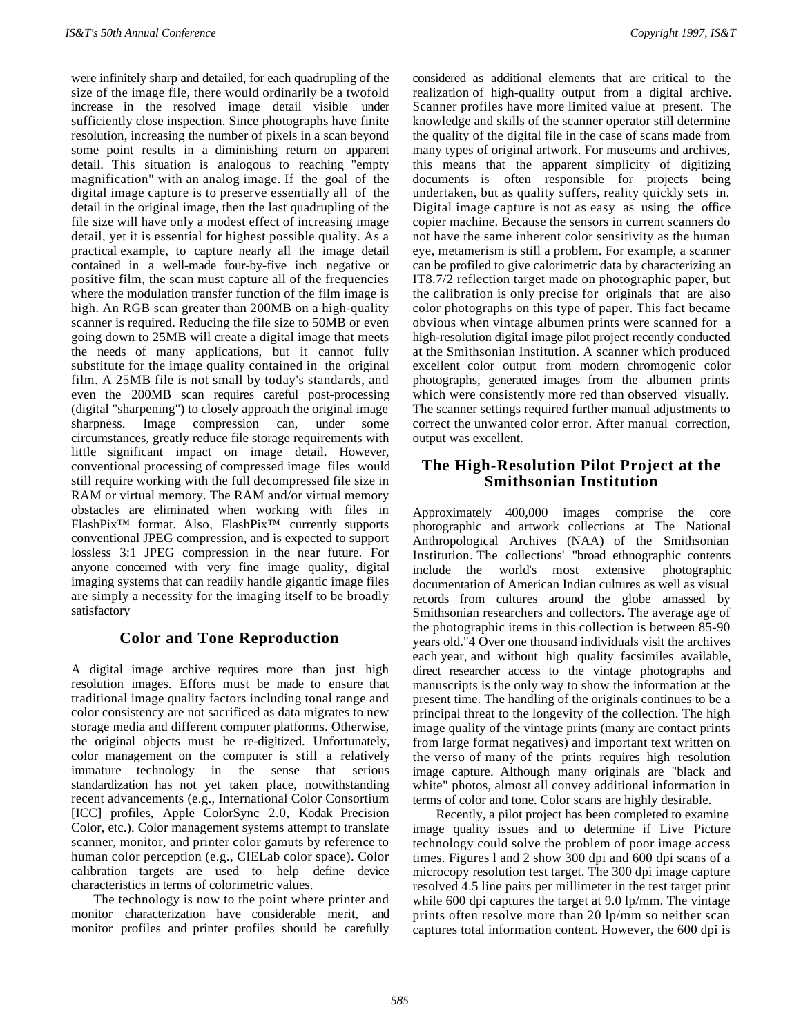were infinitely sharp and detailed, for each quadrupling of the size of the image file, there would ordinarily be a twofold increase in the resolved image detail visible under sufficiently close inspection. Since photographs have finite resolution, increasing the number of pixels in a scan beyond some point results in a diminishing return on apparent detail. This situation is analogous to reaching "empty magnification" with an analog image. If the goal of the digital image capture is to preserve essentially all of the detail in the original image, then the last quadrupling of the file size will have only a modest effect of increasing image detail, yet it is essential for highest possible quality. As a practical example, to capture nearly all the image detail contained in a well-made four-by-five inch negative or positive film, the scan must capture all of the frequencies where the modulation transfer function of the film image is high. An RGB scan greater than 200MB on a high-quality scanner is required. Reducing the file size to 50MB or even going down to 25MB will create a digital image that meets the needs of many applications, but it cannot fully substitute for the image quality contained in the original film. A 25MB file is not small by today's standards, and even the 200MB scan requires careful post-processing (digital "sharpening") to closely approach the original image sharpness. Image compression can, under some circumstances, greatly reduce file storage requirements with little significant impact on image detail. However, conventional processing of compressed image files would still require working with the full decompressed file size in RAM or virtual memory. The RAM and/or virtual memory obstacles are eliminated when working with files in FlashPix™ format. Also, FlashPix™ currently supports conventional JPEG compression, and is expected to support lossless 3:1 JPEG compression in the near future. For anyone concerned with very fine image quality, digital imaging systems that can readily handle gigantic image files are simply a necessity for the imaging itself to be broadly satisfactory

# **Color and Tone Reproduction**

A digital image archive requires more than just high resolution images. Efforts must be made to ensure that traditional image quality factors including tonal range and color consistency are not sacrificed as data migrates to new storage media and different computer platforms. Otherwise, the original objects must be re-digitized. Unfortunately, color management on the computer is still a relatively immature technology in the sense that serious standardization has not yet taken place, notwithstanding recent advancements (e.g., International Color Consortium [ICC] profiles, Apple ColorSync 2.0, Kodak Precision Color, etc.). Color management systems attempt to translate scanner, monitor, and printer color gamuts by reference to human color perception (e.g., CIELab color space). Color calibration targets are used to help define device characteristics in terms of colorimetric values.

The technology is now to the point where printer and monitor characterization have considerable merit, and monitor profiles and printer profiles should be carefully

considered as additional elements that are critical to the realization of high-quality output from a digital archive. Scanner profiles have more limited value at present. The knowledge and skills of the scanner operator still determine the quality of the digital file in the case of scans made from many types of original artwork. For museums and archives, this means that the apparent simplicity of digitizing documents is often responsible for projects being undertaken, but as quality suffers, reality quickly sets in. Digital image capture is not as easy as using the office copier machine. Because the sensors in current scanners do not have the same inherent color sensitivity as the human eye, metamerism is still a problem. For example, a scanner can be profiled to give calorimetric data by characterizing an IT8.7/2 reflection target made on photographic paper, but the calibration is only precise for originals that are also color photographs on this type of paper. This fact became obvious when vintage albumen prints were scanned for a high-resolution digital image pilot project recently conducted at the Smithsonian Institution. A scanner which produced excellent color output from modern chromogenic color photographs, generated images from the albumen prints which were consistently more red than observed visually. The scanner settings required further manual adjustments to correct the unwanted color error. After manual correction, output was excellent.

## **The High-Resolution Pilot Project at the Smithsonian Institution**

Approximately 400,000 images comprise the core photographic and artwork collections at The National Anthropological Archives (NAA) of the Smithsonian Institution. The collections' "broad ethnographic contents include the world's most extensive photographic documentation of American Indian cultures as well as visual records from cultures around the globe amassed by Smithsonian researchers and collectors. The average age of the photographic items in this collection is between 85-90 years old."4 Over one thousand individuals visit the archives each year, and without high quality facsimiles available, direct researcher access to the vintage photographs and manuscripts is the only way to show the information at the present time. The handling of the originals continues to be a principal threat to the longevity of the collection. The high image quality of the vintage prints (many are contact prints from large format negatives) and important text written on the verso of many of the prints requires high resolution image capture. Although many originals are "black and white" photos, almost all convey additional information in terms of color and tone. Color scans are highly desirable.

Recently, a pilot project has been completed to examine image quality issues and to determine if Live Picture technology could solve the problem of poor image access times. Figures l and 2 show 300 dpi and 600 dpi scans of a microcopy resolution test target. The 300 dpi image capture resolved 4.5 line pairs per millimeter in the test target print while 600 dpi captures the target at 9.0 lp/mm. The vintage prints often resolve more than 20 lp/mm so neither scan captures total information content. However, the 600 dpi is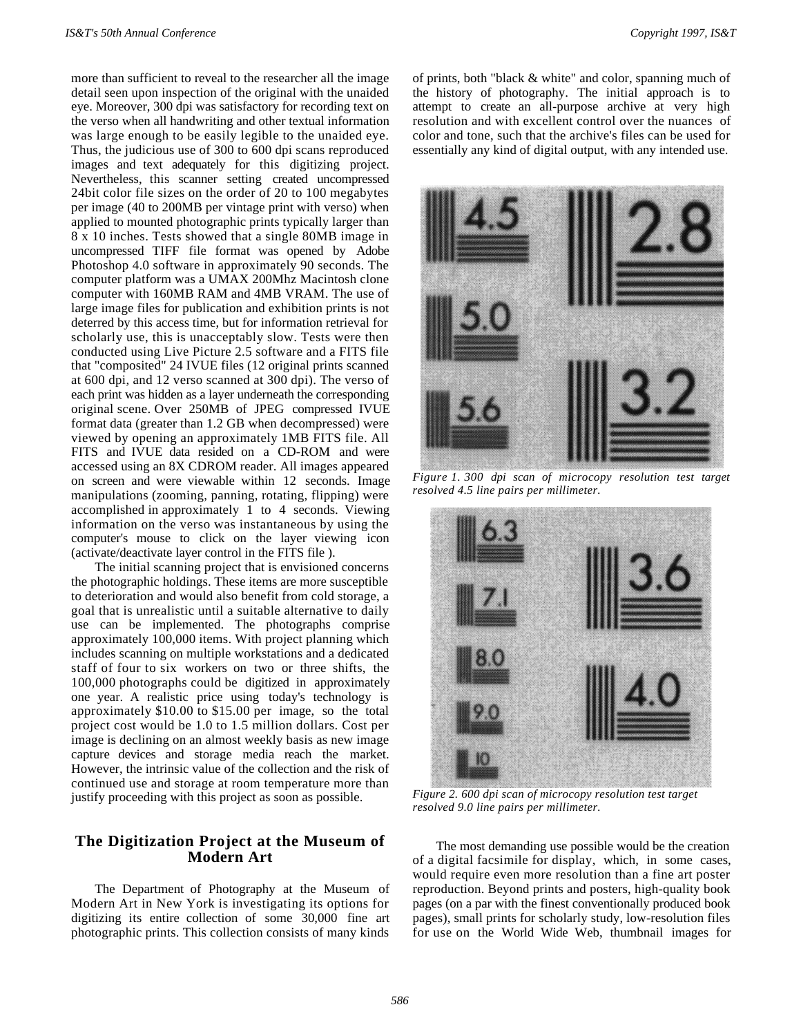more than sufficient to reveal to the researcher all the image detail seen upon inspection of the original with the unaided eye. Moreover, 300 dpi was satisfactory for recording text on the verso when all handwriting and other textual information was large enough to be easily legible to the unaided eye. Thus, the judicious use of 300 to 600 dpi scans reproduced images and text adequately for this digitizing project. Nevertheless, this scanner setting created uncompressed 24bit color file sizes on the order of 20 to 100 megabytes per image (40 to 200MB per vintage print with verso) when applied to mounted photographic prints typically larger than 8 x 10 inches. Tests showed that a single 80MB image in uncompressed TIFF file format was opened by Adobe Photoshop 4.0 software in approximately 90 seconds. The computer platform was a UMAX 200Mhz Macintosh clone computer with 160MB RAM and 4MB VRAM. The use of large image files for publication and exhibition prints is not deterred by this access time, but for information retrieval for scholarly use, this is unacceptably slow. Tests were then conducted using Live Picture 2.5 software and a FITS file that "composited" 24 IVUE files (12 original prints scanned at 600 dpi, and 12 verso scanned at 300 dpi). The verso of each print was hidden as a layer underneath the corresponding original scene. Over 250MB of JPEG compressed IVUE format data (greater than 1.2 GB when decompressed) were viewed by opening an approximately 1MB FITS file. All FITS and IVUE data resided on a CD-ROM and were accessed using an 8X CDROM reader. All images appeared on screen and were viewable within 12 seconds. Image manipulations (zooming, panning, rotating, flipping) were accomplished in approximately 1 to 4 seconds. Viewing information on the verso was instantaneous by using the computer's mouse to click on the layer viewing icon (activate/deactivate layer control in the FITS file ).

The initial scanning project that is envisioned concerns the photographic holdings. These items are more susceptible to deterioration and would also benefit from cold storage, a goal that is unrealistic until a suitable alternative to daily use can be implemented. The photographs comprise approximately 100,000 items. With project planning which includes scanning on multiple workstations and a dedicated staff of four to six workers on two or three shifts, the 100,000 photographs could be digitized in approximately one year. A realistic price using today's technology is approximately \$10.00 to \$15.00 per image, so the total project cost would be 1.0 to 1.5 million dollars. Cost per image is declining on an almost weekly basis as new image capture devices and storage media reach the market. However, the intrinsic value of the collection and the risk of continued use and storage at room temperature more than justify proceeding with this project as soon as possible.

## **The Digitization Project at the Museum of Modern Art**

The Department of Photography at the Museum of Modern Art in New York is investigating its options for digitizing its entire collection of some 30,000 fine art photographic prints. This collection consists of many kinds

of prints, both "black & white" and color, spanning much of the history of photography. The initial approach is to attempt to create an all-purpose archive at very high resolution and with excellent control over the nuances of color and tone, such that the archive's files can be used for essentially any kind of digital output, with any intended use.



*Figure 1. 300 dpi scan of microcopy resolution test target resolved 4.5 line pairs per millimeter.*



*Figure 2. 600 dpi scan of microcopy resolution test target resolved 9.0 line pairs per millimeter.*

The most demanding use possible would be the creation of a digital facsimile for display, which, in some cases, would require even more resolution than a fine art poster reproduction. Beyond prints and posters, high-quality book pages (on a par with the finest conventionally produced book pages), small prints for scholarly study, low-resolution files for use on the World Wide Web, thumbnail images for